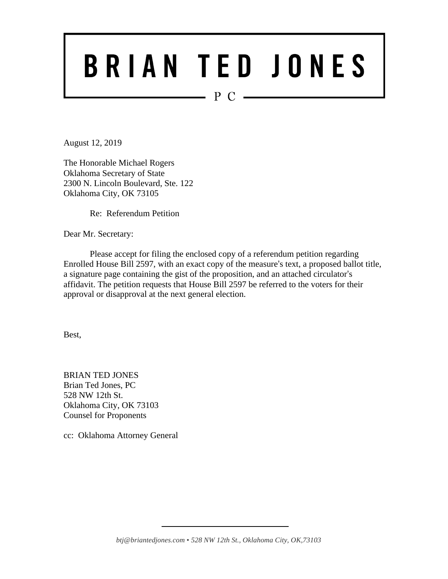# BRIAN TED JONES

 $P C$  —

August 12, 2019

The Honorable Michael Rogers Oklahoma Secretary of State 2300 N. Lincoln Boulevard, Ste. 122 Oklahoma City, OK 73105

Re: Referendum Petition

Dear Mr. Secretary:

Please accept for filing the enclosed copy of a referendum petition regarding Enrolled House Bill 2597, with an exact copy of the measure's text, a proposed ballot title, a signature page containing the gist of the proposition, and an attached circulator's affidavit. The petition requests that House Bill 2597 be referred to the voters for their approval or disapproval at the next general election.

Best,

BRIAN TED JONES Brian Ted Jones, PC 528 NW 12th St. Oklahoma City, OK 73103 Counsel for Proponents

cc: Oklahoma Attorney General

*btj@briantedjones.com* • *528 NW 12th St., Oklahoma City, OK,73103*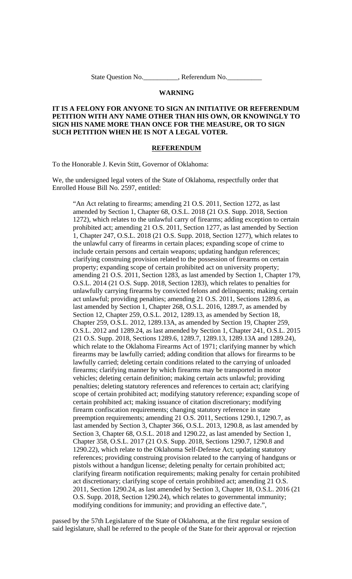State Question No. The Referendum No.

#### **WARNING**

#### **IT IS A FELONY FOR ANYONE TO SIGN AN INITIATIVE OR REFERENDUM PETITION WITH ANY NAME OTHER THAN HIS OWN, OR KNOWINGLY TO SIGN HIS NAME MORE THAN ONCE FOR THE MEASURE, OR TO SIGN SUCH PETITION WHEN HE IS NOT A LEGAL VOTER.**

#### **REFERENDUM**

To the Honorable J. Kevin Stitt, Governor of Oklahoma:

We, the undersigned legal voters of the State of Oklahoma, respectfully order that Enrolled House Bill No. 2597, entitled:

"An Act relating to firearms; amending 21 O.S. 2011, Section 1272, as last amended by Section 1, Chapter 68, O.S.L. 2018 (21 O.S. Supp. 2018, Section 1272), which relates to the unlawful carry of firearms; adding exception to certain prohibited act; amending 21 O.S. 2011, Section 1277, as last amended by Section 1, Chapter 247, O.S.L. 2018 (21 O.S. Supp. 2018, Section 1277), which relates to the unlawful carry of firearms in certain places; expanding scope of crime to include certain persons and certain weapons; updating handgun references; clarifying construing provision related to the possession of firearms on certain property; expanding scope of certain prohibited act on university property; amending 21 O.S. 2011, Section 1283, as last amended by Section 1, Chapter 179, O.S.L. 2014 (21 O.S. Supp. 2018, Section 1283), which relates to penalties for unlawfully carrying firearms by convicted felons and delinquents; making certain act unlawful; providing penalties; amending 21 O.S. 2011, Sections 1289.6, as last amended by Section 1, Chapter 268, O.S.L. 2016, 1289.7, as amended by Section 12, Chapter 259, O.S.L. 2012, 1289.13, as amended by Section 18, Chapter 259, O.S.L. 2012, 1289.13A, as amended by Section 19, Chapter 259, O.S.L. 2012 and 1289.24, as last amended by Section 1, Chapter 241, O.S.L. 2015 (21 O.S. Supp. 2018, Sections 1289.6, 1289.7, 1289.13, 1289.13A and 1289.24), which relate to the Oklahoma Firearms Act of 1971; clarifying manner by which firearms may be lawfully carried; adding condition that allows for firearms to be lawfully carried; deleting certain conditions related to the carrying of unloaded firearms; clarifying manner by which firearms may be transported in motor vehicles; deleting certain definition; making certain acts unlawful; providing penalties; deleting statutory references and references to certain act; clarifying scope of certain prohibited act; modifying statutory reference; expanding scope of certain prohibited act; making issuance of citation discretionary; modifying firearm confiscation requirements; changing statutory reference in state preemption requirements; amending 21 O.S. 2011, Sections 1290.1, 1290.7, as last amended by Section 3, Chapter 366, O.S.L. 2013, 1290.8, as last amended by Section 3, Chapter 68, O.S.L. 2018 and 1290.22, as last amended by Section 1, Chapter 358, O.S.L. 2017 (21 O.S. Supp. 2018, Sections 1290.7, 1290.8 and 1290.22), which relate to the Oklahoma Self-Defense Act; updating statutory references; providing construing provision related to the carrying of handguns or pistols without a handgun license; deleting penalty for certain prohibited act; clarifying firearm notification requirements; making penalty for certain prohibited act discretionary; clarifying scope of certain prohibited act; amending 21 O.S. 2011, Section 1290.24, as last amended by Section 3, Chapter 18, O.S.L. 2016 (21 O.S. Supp. 2018, Section 1290.24), which relates to governmental immunity; modifying conditions for immunity; and providing an effective date.",

passed by the 57th Legislature of the State of Oklahoma, at the first regular session of said legislature, shall be referred to the people of the State for their approval or rejection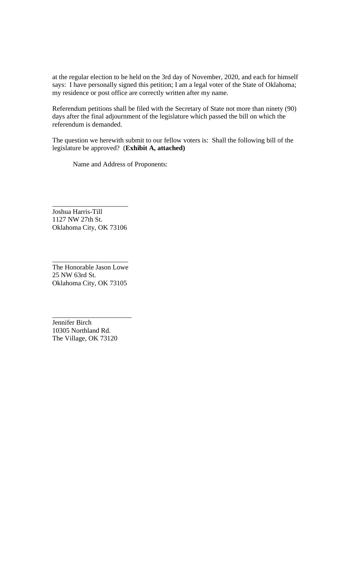at the regular election to be held on the 3rd day of November, 2020, and each for himself says: I have personally signed this petition; I am a legal voter of the State of Oklahoma; my residence or post office are correctly written after my name.

Referendum petitions shall be filed with the Secretary of State not more than ninety (90) days after the final adjournment of the legislature which passed the bill on which the referendum is demanded.

The question we herewith submit to our fellow voters is: Shall the following bill of the legislature be approved? (**Exhibit A, attached)**

Name and Address of Proponents:

Joshua Harris-Till 1127 NW 27th St. Oklahoma City, OK 73106

\_\_\_\_\_\_\_\_\_\_\_\_\_\_\_\_\_\_\_\_\_\_

The Honorable Jason Lowe 25 NW 63rd St. Oklahoma City, OK 73105

\_\_\_\_\_\_\_\_\_\_\_\_\_\_\_\_\_\_\_\_\_\_

Jennifer Birch 10305 Northland Rd. The Village, OK 73120

\_\_\_\_\_\_\_\_\_\_\_\_\_\_\_\_\_\_\_\_\_\_\_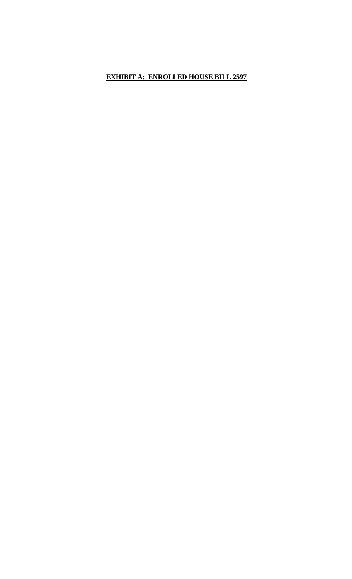#### **EXHIBIT A: ENROLLED HOUSE BILL 2597**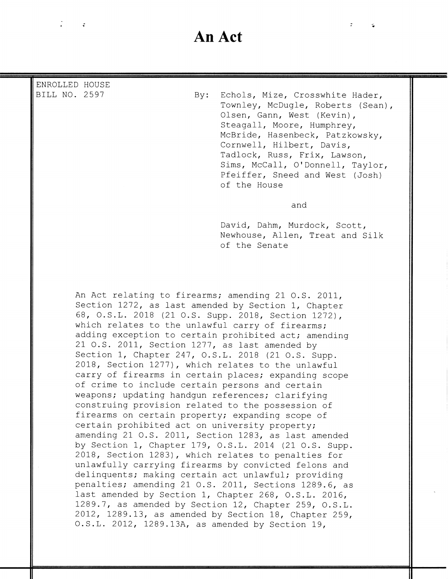# **An Act**

 $\ddot{r}$ 

| ENROLLED HOUSE<br>BILL NO. 2597 | $\mathbf{By:}$ | Echols, Mize, Crosswhite Hader,<br>Townley, McDugle, Roberts (Sean),<br>Olsen, Gann, West (Kevin),<br>Steagall, Moore, Humphrey,<br>McBride, Hasenbeck, Patzkowsky,<br>Cornwell, Hilbert, Davis,<br>Tadlock, Russ, Frix, Lawson,<br>Sims, McCall, O'Donnell, Taylor,<br>Pfeiffer, Sneed and West (Josh)<br>of the House |
|---------------------------------|----------------|-------------------------------------------------------------------------------------------------------------------------------------------------------------------------------------------------------------------------------------------------------------------------------------------------------------------------|
|                                 |                | and<br>David, Dahm, Murdock, Scott,<br>Newhouse, Allen, Treat and Silk<br>of the Senate                                                                                                                                                                                                                                 |

Section 1272, as last amended by Section 1, Chapter 68, O.S.L. 2018 (21 O.S. Supp. 2018, Section 1272), which relates to the unlawful carry of firearms; adding exception to certain prohibited act; amending 21 O.S. 2011, Section 1277, as last amended by Section 1, Chapter 247, O.S.L. 2018 (21 O.S. Supp. 2018, Section 1277), which relates to the unlawful carry of firearms in certain places; expanding scope of crime to include certain persons and certain weapons; updating handgun references; clarifying construing provision related to the possession of firearms on certain property; expanding scope of certain prohibited act on university property; amending 21 O.S. 2011, Section 1283, as last amended by Section 1, Chapter 179, O.S.L. 2014 (21 O.S. Supp. 2018, Section 1283), which relates to penalties for unlawfully carrying firearms by convicted felons and delinquents; making certain act unlawful; providing penalties; amending 21 O.S. 2011, Sections 1289.6, as last amended by Section 1, Chapter 268, O.S.L. 2016, 1289.7, as amended by Section 12, Chapter 259, O.S.L. 2012, 1289.13, as amended by Section 18, Chapter 259, O.S.L. 2012, 1289.13A, as amended by Section 19,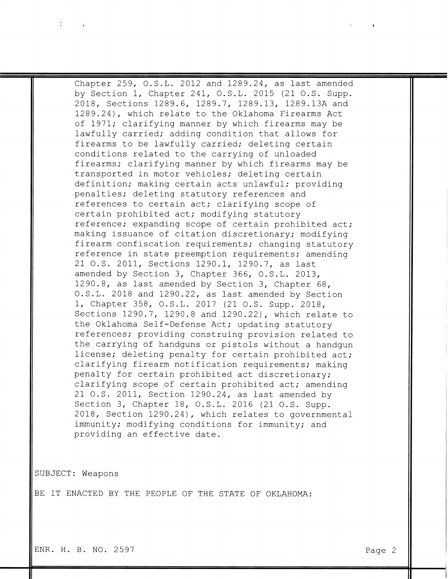Chapter 259, O.S.L. 2012 and 1289.24, as last amended by Section 1, Chapter 241, O.S.L. 2015 (21 O.S. Supp. 2018, Sections 1289.6, 1289.7, 1289.13, 1289.13A and 1289.24), which relate to the Oklahoma Firearms Act of 1971; clarifying manner by which firearms may be lawfully carried; adding condition that allows for firearms to be lawfully carried; deleting certain conditions related to the carrying of unloaded firearms; clarifying manner by which firearms may be transported in motor vehicles; deleting certain definition; making certain acts unlawful; providing penalties; deleting statutory references and references to certain act; clarifying scope of certain prohibited act; modifying statutory reference; expanding scope of certain prohibited act; making issuance of citation discretionary; modifying firearm confiscation requirements; changing statutory reference in state preemption requirements; amending 21 O.S. 2011, Sections 1290.1, 1290.7, as last amended by Section 3, Chapter 366, O.S.L. 2013, 1290.8, as last amended by Section 3, Chapter 68, O.S.L. 2018 and 1290.22, as last amended by Section 1, Chapter 358, O.S.L. 2017 (21 O.S. Supp. 2018, Sections 1290.7, 1290.8 and 1290.22), which relate to the Oklahoma Self-Defense Act; updating statutory references; providing construing provision related to the carrying of handguns or pistols without a handgun license; deleting penalty for certain prohibited act; clarifying firearm notification requirements; making penalty for certain prohibited act discretionary; clarifying scope of certain prohibited act; amending 21 O.S. 2011, Section 1290.24, as last amended by Section 3, Chapter 18, O.S.L. 2016 (21 O.S. Supp. 2018, Section 1290.24), which relates to governmental immunity; modifying conditions for immunity; and providing an effective date.

SUBJECT: Weapons

BE IT ENACTED BY THE PEOPLE OF THE STATE OF OKLAHOMA:

ENR. H. B. NO. 2597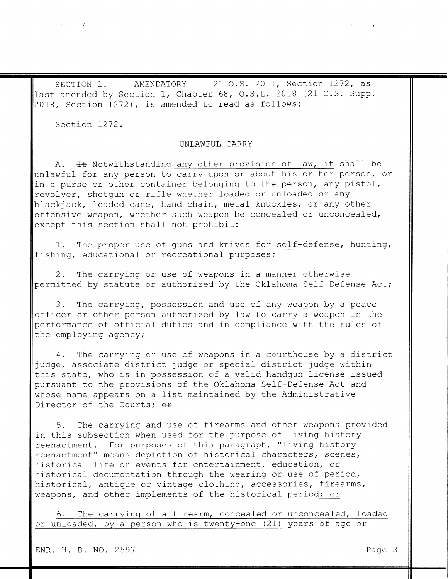AMENDATORY 21 O.S. 2011, Section 1272, as SECTION 1. last amended by Section 1, Chapter 68, O.S.L. 2018 (21 O.S. Supp. 2018, Section 1272), is amended to read as follows:

Section 1272.

 $\mathbf{r}$  and  $\mathbf{r}$ 

#### UNLAWFUL CARRY

It Notwithstanding any other provision of law, it shall be  $A_{\bullet}$ unlawful for any person to carry upon or about his or her person, or in a purse or other container belonging to the person, any pistol, revolver, shotgun or rifle whether loaded or unloaded or any blackjack, loaded cane, hand chain, metal knuckles, or any other offensive weapon, whether such weapon be concealed or unconcealed, except this section shall not prohibit:

1. The proper use of guns and knives for self-defense, hunting, fishing, educational or recreational purposes;

2. The carrying or use of weapons in a manner otherwise permitted by statute or authorized by the Oklahoma Self-Defense Act;

The carrying, possession and use of any weapon by a peace  $3.$ officer or other person authorized by law to carry a weapon in the performance of official duties and in compliance with the rules of

the employing agency;

4. The carrying or use of weapons in a courthouse by a district judge, associate district judge or special district judge within this state, who is in possession of a valid handgun license issued pursuant to the provisions of the Oklahoma Self-Defense Act and whose name appears on a list maintained by the Administrative Director of the Courts; or

5. The carrying and use of firearms and other weapons provided in this subsection when used for the purpose of living history reenactment. For purposes of this paragraph, "living history reenactment" means depiction of historical characters, scenes, historical life or events for entertainment, education, or historical documentation through the wearing or use of period, historical, antique or vintage clothing, accessories, firearms, weapons, and other implements of the historical period; or

The carrying of a firearm, concealed or unconcealed, loaded 6. or unloaded, by a person who is twenty-one (21) years of age or

ENR. H. B. NO. 2597

Page 3

 $\tilde{J}$  and  $\tilde{J}$  and  $\tilde{J}$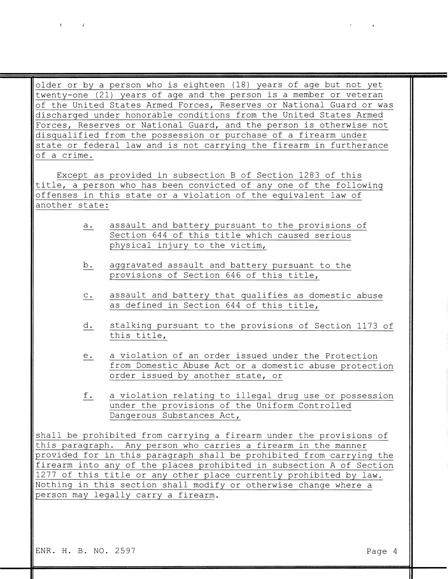older or by a person who is eighteen (18) years of age but not yet twenty-one (21) years of age and the person is a member or veteran of the United States Armed Forces, Reserves or National Guard or was discharged under honorable conditions from the United States Armed Forces, Reserves or National Guard, and the person is otherwise not disqualified from the possession or purchase of a firearm under state or federal law and is not carrying the firearm in furtherance of a crime.

Except as provided in subsection B of Section 1283 of this title, a person who has been convicted of any one of the following offenses in this state or a violation of the equivalent law of another state:

- assault and battery pursuant to the provisions of  $a.$ Section 644 of this title which caused serious physical injury to the victim,
- b. aggravated assault and battery pursuant to the provisions of Section 646 of this title,
- assault and battery that qualifies as domestic abuse  $C$ . as defined in Section 644 of this title,
- stalking pursuant to the provisions of Section 1173 of d. this title,
- a violation of an order issued under the Protection  $e$ . from Domestic Abuse Act or a domestic abuse protection order issued by another state, or
- f. a violation relating to illegal drug use or possession under the provisions of the Uniform Controlled Dangerous Substances Act,

shall be prohibited from carrying a firearm under the provisions of this paragraph. Any person who carries a firearm in the manner provided for in this paragraph shall be prohibited from carrying the firearm into any of the places prohibited in subsection A of Section 1277 of this title or any other place currently prohibited by law. Nothing in this section shall modify or otherwise change where a person may legally carry a firearm.

ENR. H. B. NO. 2597

 $\mathbf{I}$   $\mathbf{r}$ 

Page 4

 $\mathcal{F}(\mathcal{F})$  . The set of  $\mathcal{F}(\mathcal{F})$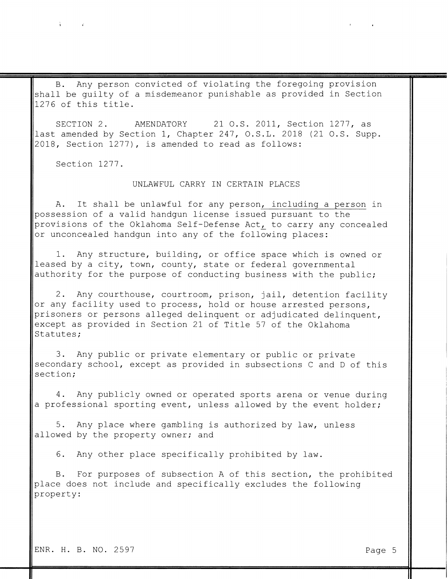# $\mathbf{A}$  and  $\mathbf{A}$  and  $\mathbf{A}$

Any person convicted of violating the foregoing provision  $B_{\bullet}$ shall be guilty of a misdemeanor punishable as provided in Section 1276 of this title.

SECTION 2. 21 O.S. 2011, Section 1277, as AMENDATORY last amended by Section 1, Chapter 247, O.S.L. 2018 (21 O.S. Supp. 2018, Section 1277), is amended to read as follows:

Section 1277.

## UNLAWFUL CARRY IN CERTAIN PLACES

It shall be unlawful for any person, including a person in  $A$ . possession of a valid handgun license issued pursuant to the provisions of the Oklahoma Self-Defense Act, to carry any concealed or unconcealed handgun into any of the following places:

1. Any structure, building, or office space which is owned or leased by a city, town, county, state or federal governmental authority for the purpose of conducting business with the public;

2. Any courthouse, courtroom, prison, jail, detention facility or any facility used to process, hold or house arrested persons, prisoners or persons alleged delinquent or adjudicated delinquent, except as provided in Section 21 of Title 57 of the Oklahoma

Statutes;

3. Any public or private elementary or public or private secondary school, except as provided in subsections C and D of this section;

4. Any publicly owned or operated sports arena or venue during a professional sporting event, unless allowed by the event holder;

5. Any place where gambling is authorized by law, unless allowed by the property owner; and

Any other place specifically prohibited by law. 6.

For purposes of subsection A of this section, the prohibited **B**. place does not include and specifically excludes the following property:

ENR. H. B. NO. 2597

 $\tilde{A}$  and  $\tilde{A}$  and  $\tilde{A}$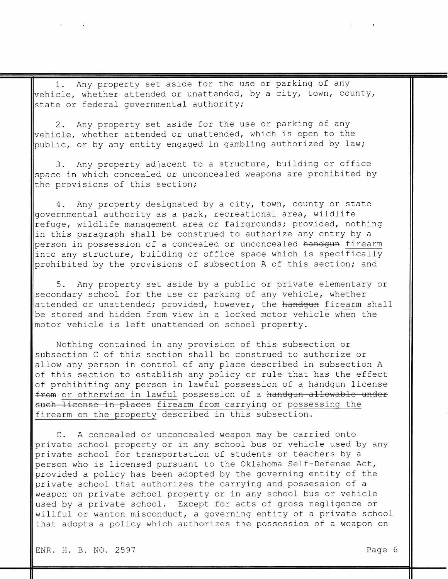Any property set aside for the use or parking of any  $1$ . vehicle, whether attended or unattended, by a city, town, county, state or federal governmental authority;

Any property set aside for the use or parking of any  $2$ . vehicle, whether attended or unattended, which is open to the public, or by any entity engaged in gambling authorized by law;

Any property adjacent to a structure, building or office  $3.$ space in which concealed or unconcealed weapons are prohibited by the provisions of this section;

Any property designated by a city, town, county or state  $4$  . governmental authority as a park, recreational area, wildlife refuge, wildlife management area or fairgrounds; provided, nothing in this paragraph shall be construed to authorize any entry by a person in possession of a concealed or unconcealed handgun firearm into any structure, building or office space which is specifically prohibited by the provisions of subsection A of this section; and

 $5.$ Any property set aside by a public or private elementary or secondary school for the use or parking of any vehicle, whether attended or unattended; provided, however, the handgun firearm shall be stored and hidden from view in a locked motor vehicle when the motor vehicle is left unattended on school property.

Nothing contained in any provision of this subsection or subsection C of this section shall be construed to authorize or allow any person in control of any place described in subsection A of this section to establish any policy or rule that has the effect of prohibiting any person in lawful possession of a handgun license from or otherwise in lawful possession of a handgun allowable under such license in places firearm from carrying or possessing the firearm on the property described in this subsection.

C. A concealed or unconcealed weapon may be carried onto private school property or in any school bus or vehicle used by any private school for transportation of students or teachers by a person who is licensed pursuant to the Oklahoma Self-Defense Act, provided a policy has been adopted by the governing entity of the private school that authorizes the carrying and possession of a weapon on private school property or in any school bus or vehicle used by a private school. Except for acts of gross negligence or willful or wanton misconduct, a governing entity of a private school that adopts a policy which authorizes the possession of a weapon on

ENR. H. B. NO. 2597

 $\mathcal{A}$  and  $\mathcal{A}$  are  $\mathcal{A}$  . In the set of  $\mathcal{A}$ 

Page 6

 $\label{eq:2.1} \mathbf{E}(\mathbf{r}) = \mathbf{E}(\mathbf{r}) = \mathbf{E}(\mathbf{r}) = \mathbf{E}(\mathbf{r}) = \mathbf{E}(\mathbf{r}) = \mathbf{E}(\mathbf{r})$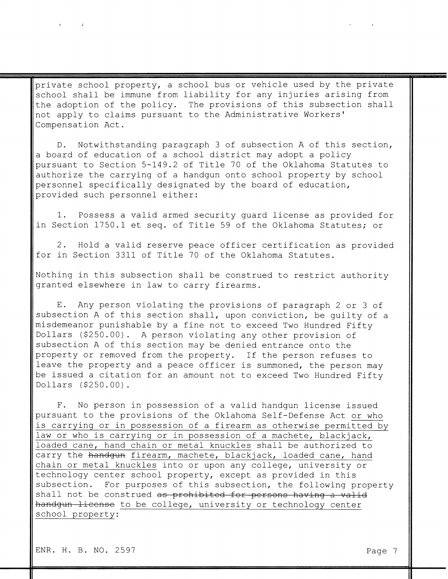private school property, a school bus or vehicle used by the private school shall be immune from liability for any injuries arising from the adoption of the policy. The provisions of this subsection shall not apply to claims pursuant to the Administrative Workers' Compensation Act.

D. Notwithstanding paragraph 3 of subsection A of this section, a board of education of a school district may adopt a policy pursuant to Section 5-149.2 of Title 70 of the Oklahoma Statutes to authorize the carrying of a handgun onto school property by school personnel specifically designated by the board of education, provided such personnel either:

1. Possess a valid armed security guard license as provided for in Section 1750.1 et seq. of Title 59 of the Oklahoma Statutes; or

2. Hold a valid reserve peace officer certification as provided for in Section 3311 of Title 70 of the Oklahoma Statutes.

Nothing in this subsection shall be construed to restrict authority granted elsewhere in law to carry firearms.

Any person violating the provisions of paragraph 2 or 3 of  $E$ . subsection A of this section shall, upon conviction, be quilty of a misdemeanor punishable by a fine not to exceed Two Hundred Fifty Dollars (\$250.00). A person violating any other provision of subsection A of this section may be denied entrance onto the property or removed from the property. If the person refuses to leave the property and a peace officer is summoned, the person may be issued a citation for an amount not to exceed Two Hundred Fifty Dollars (\$250.00).

No person in possession of a valid handgun license issued  $F$ . pursuant to the provisions of the Oklahoma Self-Defense Act or who is carrying or in possession of a firearm as otherwise permitted by law or who is carrying or in possession of a machete, blackjack, loaded cane, hand chain or metal knuckles shall be authorized to carry the handgun firearm, machete, blackjack, loaded cane, hand chain or metal knuckles into or upon any college, university or technology center school property, except as provided in this subsection. For purposes of this subsection, the following property shall not be construed as prohibited for persons having a valid handgun license to be college, university or technology center school property:

ENR. H. B. NO. 2597

 $\mathbf{H}^{\text{max}}$  and  $\mathbf{H}^{\text{max}}$  and  $\mathbf{H}^{\text{max}}$ 

Page 7

 $\mathcal{A}=\mathcal{A}$  . The set of the set of  $\mathcal{A}$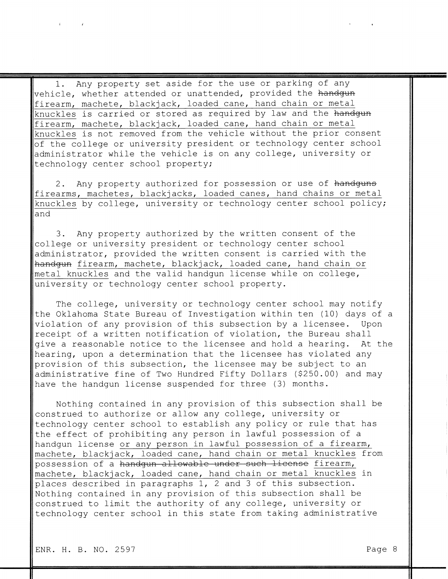Any property set aside for the use or parking of any  $1$ . vehicle, whether attended or unattended, provided the handgun firearm, machete, blackjack, loaded cane, hand chain or metal knuckles is carried or stored as required by law and the handgun firearm, machete, blackjack, loaded cane, hand chain or metal knuckles is not removed from the vehicle without the prior consent of the college or university president or technology center school administrator while the vehicle is on any college, university or technology center school property;

Any property authorized for possession or use of handguns  $2$ . firearms, machetes, blackjacks, loaded canes, hand chains or metal knuckles by college, university or technology center school policy; and

Any property authorized by the written consent of the З. college or university president or technology center school administrator, provided the written consent is carried with the handgun firearm, machete, blackjack, loaded cane, hand chain or metal knuckles and the valid handgun license while on college, university or technology center school property.

The college, university or technology center school may notify the Oklahoma State Bureau of Investigation within ten (10) days of a violation of any provision of this subsection by a licensee. Upon receipt of a written notification of violation, the Bureau shall give a reasonable notice to the licensee and hold a hearing. At the hearing, upon a determination that the licensee has violated any provision of this subsection, the licensee may be subject to an administrative fine of Two Hundred Fifty Dollars (\$250.00) and may have the handgun license suspended for three (3) months.

Nothing contained in any provision of this subsection shall be construed to authorize or allow any college, university or technology center school to establish any policy or rule that has the effect of prohibiting any person in lawful possession of a handqun license or any person in lawful possession of a firearm, machete, blackjack, loaded cane, hand chain or metal knuckles from possession of a handgun allowable under such license firearm, machete, blackjack, loaded cane, hand chain or metal knuckles in places described in paragraphs 1, 2 and 3 of this subsection. Nothing contained in any provision of this subsection shall be construed to limit the authority of any college, university or technology center school in this state from taking administrative

 $\hat{\mathbf{f}}$  and  $\hat{\mathbf{f}}$  and  $\hat{\mathbf{f}}$ 

Page 8

 $\mathcal{A}^{\text{max}}$  and  $\mathcal{A}^{\text{max}}$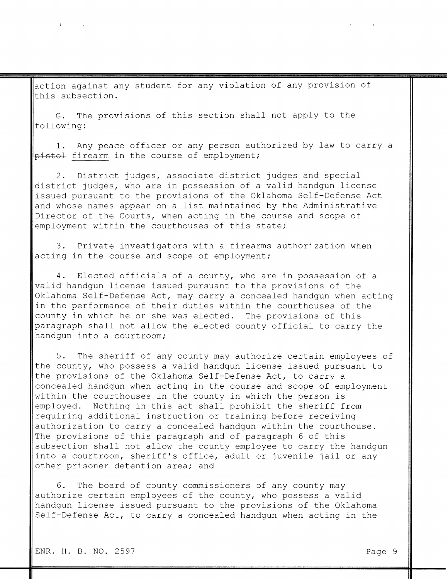action against any student for any violation of any provision of this subsection.

The provisions of this section shall not apply to the G. following:

1. Any peace officer or any person authorized by law to carry a pistol firearm in the course of employment;

District judges, associate district judges and special 2. district judges, who are in possession of a valid handgun license issued pursuant to the provisions of the Oklahoma Self-Defense Act and whose names appear on a list maintained by the Administrative Director of the Courts, when acting in the course and scope of employment within the courthouses of this state;

3. Private investigators with a firearms authorization when acting in the course and scope of employment;

4. Elected officials of a county, who are in possession of a valid handgun license issued pursuant to the provisions of the Oklahoma Self-Defense Act, may carry a concealed handgun when acting in the performance of their duties within the courthouses of the county in which he or she was elected. The provisions of this paragraph shall not allow the elected county official to carry the handqun into a courtroom;

5. The sheriff of any county may authorize certain employees of the county, who possess a valid handgun license issued pursuant to the provisions of the Oklahoma Self-Defense Act, to carry a concealed handgun when acting in the course and scope of employment within the courthouses in the county in which the person is employed. Nothing in this act shall prohibit the sheriff from requiring additional instruction or training before receiving authorization to carry a concealed handgun within the courthouse. The provisions of this paragraph and of paragraph 6 of this subsection shall not allow the county employee to carry the handqun into a courtroom, sheriff's office, adult or juvenile jail or any other prisoner detention area; and

6. The board of county commissioners of any county may authorize certain employees of the county, who possess a valid handgun license issued pursuant to the provisions of the Oklahoma Self-Defense Act, to carry a concealed handgun when acting in the

 $\mathbf{i}$  and  $\mathbf{j}$  and  $\mathbf{k}$ 

 $\mathbf{H}^{\text{max}}$  and  $\mathbf{H}^{\text{max}}$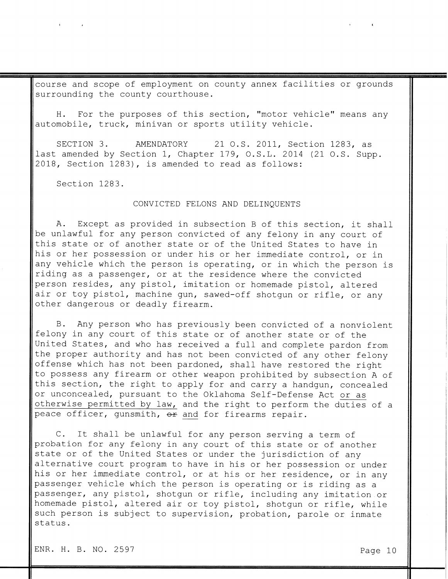course and scope of employment on county annex facilities or grounds surrounding the county courthouse.

For the purposes of this section, "motor vehicle" means any H. automobile, truck, minivan or sports utility vehicle.

SECTION 3. AMENDATORY 21 O.S. 2011, Section 1283, as last amended by Section 1, Chapter 179, O.S.L. 2014 (21 O.S. Supp. 2018, Section 1283), is amended to read as follows:

Section 1283.

 $\mathbf{E}^{(1)}$  and  $\mathbf{E}^{(2)}$  and  $\mathbf{E}^{(3)}$ 

#### CONVICTED FELONS AND DELINQUENTS

Except as provided in subsection B of this section, it shall A. be unlawful for any person convicted of any felony in any court of this state or of another state or of the United States to have in his or her possession or under his or her immediate control, or in any vehicle which the person is operating, or in which the person is riding as a passenger, or at the residence where the convicted person resides, any pistol, imitation or homemade pistol, altered air or toy pistol, machine gun, sawed-off shotgun or rifle, or any other dangerous or deadly firearm.

Any person who has previously been convicted of a nonviolent  $B$ .

felony in any court of this state or of another state or of the United States, and who has received a full and complete pardon from the proper authority and has not been convicted of any other felony offense which has not been pardoned, shall have restored the right to possess any firearm or other weapon prohibited by subsection A of this section, the right to apply for and carry a handgun, concealed or unconcealed, pursuant to the Oklahoma Self-Defense Act or as otherwise permitted by law, and the right to perform the duties of a peace officer, qunsmith, or and for firearms repair.

C. It shall be unlawful for any person serving a term of probation for any felony in any court of this state or of another state or of the United States or under the jurisdiction of any alternative court program to have in his or her possession or under his or her immediate control, or at his or her residence, or in any passenger vehicle which the person is operating or is riding as a passenger, any pistol, shotgun or rifle, including any imitation or homemade pistol, altered air or toy pistol, shotgun or rifle, while such person is subject to supervision, probation, parole or inmate status.

ENR. H. B. NO. 2597

Page 10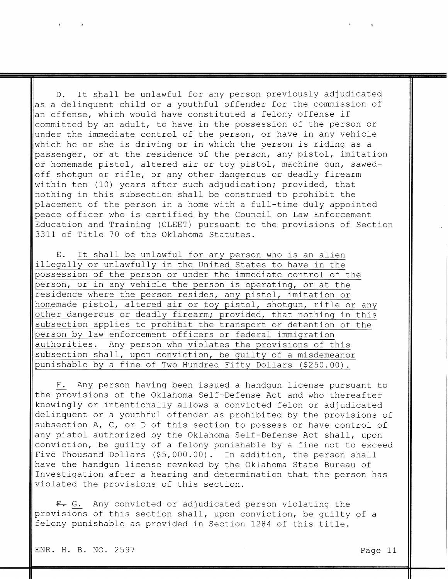It shall be unlawful for any person previously adjudicated  $D_{\bullet}$ as a delinquent child or a youthful offender for the commission of an offense, which would have constituted a felony offense if committed by an adult, to have in the possession of the person or under the immediate control of the person, or have in any vehicle which he or she is driving or in which the person is riding as a passenger, or at the residence of the person, any pistol, imitation or homemade pistol, altered air or toy pistol, machine gun, sawedoff shotgun or rifle, or any other dangerous or deadly firearm within ten (10) years after such adjudication; provided, that nothing in this subsection shall be construed to prohibit the placement of the person in a home with a full-time duly appointed peace officer who is certified by the Council on Law Enforcement Education and Training (CLEET) pursuant to the provisions of Section 3311 of Title 70 of the Oklahoma Statutes.

It shall be unlawful for any person who is an alien  $E$ . illegally or unlawfully in the United States to have in the possession of the person or under the immediate control of the person, or in any vehicle the person is operating, or at the residence where the person resides, any pistol, imitation or homemade pistol, altered air or toy pistol, shotgun, rifle or any other dangerous or deadly firearm; provided, that nothing in this subsection applies to prohibit the transport or detention of the

| person by law enforcement officers or federal immigration     |  |  |  |  |  |  |
|---------------------------------------------------------------|--|--|--|--|--|--|
| authorities. Any person who violates the provisions of this   |  |  |  |  |  |  |
| subsection shall, upon conviction, be guilty of a misdemeanor |  |  |  |  |  |  |
| punishable by a fine of Two Hundred Fifty Dollars (\$250.00). |  |  |  |  |  |  |

Any person having been issued a handgun license pursuant to  $F_{\bullet}$ the provisions of the Oklahoma Self-Defense Act and who thereafter knowingly or intentionally allows a convicted felon or adjudicated delinquent or a youthful offender as prohibited by the provisions of subsection A, C, or D of this section to possess or have control of any pistol authorized by the Oklahoma Self-Defense Act shall, upon conviction, be guilty of a felony punishable by a fine not to exceed Five Thousand Dollars (\$5,000.00). In addition, the person shall have the handgun license revoked by the Oklahoma State Bureau of Investigation after a hearing and determination that the person has violated the provisions of this section.

F. G. Any convicted or adjudicated person violating the provisions of this section shall, upon conviction, be quilty of a felony punishable as provided in Section 1284 of this title.

ENR. H. B. NO. 2597

 $\vec{t}$  and  $\vec{t}$  and  $\vec{t}$ 

 $\mathbf{1}$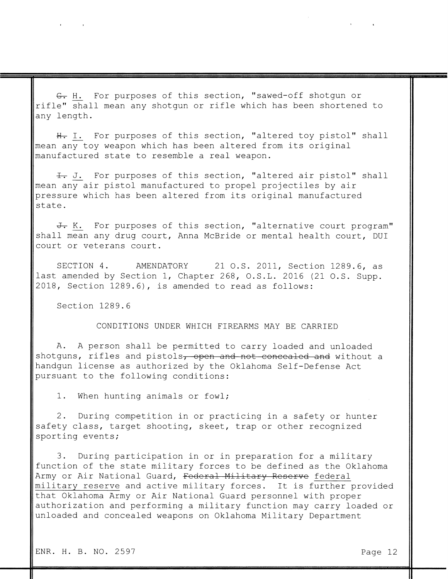G. H. For purposes of this section, "sawed-off shotgun or rifle" shall mean any shotgun or rifle which has been shortened to any length.

H. I. For purposes of this section, "altered toy pistol" shall mean any toy weapon which has been altered from its original manufactured state to resemble a real weapon.

I. For purposes of this section, "altered air pistol" shall mean any air pistol manufactured to propel projectiles by air pressure which has been altered from its original manufactured state.

J. K. For purposes of this section, "alternative court program" shall mean any drug court, Anna McBride or mental health court, DUI court or veterans court.

SECTION 4. AMENDATORY 21 O.S. 2011, Section 1289.6, as last amended by Section 1, Chapter 268, O.S.L. 2016 (21 O.S. Supp. 2018, Section 1289.6), is amended to read as follows:

Section 1289.6

 $\mathbf{A}$  and  $\mathbf{A}$  are the set of  $\mathbf{A}$ 

CONDITIONS UNDER WHICH FIREARMS MAY BE CARRIED

A. A person shall be permitted to carry loaded and unloaded shotguns, rifles and pistols, open and not concealed and without a handgun license as authorized by the Oklahoma Self-Defense Act pursuant to the following conditions:

1. When hunting animals or fowl;

2. During competition in or practicing in a safety or hunter safety class, target shooting, skeet, trap or other recognized sporting events;

3. During participation in or in preparation for a military function of the state military forces to be defined as the Oklahoma Army or Air National Guard, Federal Military Reserve federal military reserve and active military forces. It is further provided that Oklahoma Army or Air National Guard personnel with proper authorization and performing a military function may carry loaded or unloaded and concealed weapons on Oklahoma Military Department

 $\label{eq:2.1} \mathbf{A} = \left\{ \begin{array}{ll} \mathbf{A} & \mathbf{A} & \mathbf{A} \\ \mathbf{A} & \mathbf{A} & \mathbf{A} \\ \mathbf{A} & \mathbf{A} & \mathbf{A} \end{array} \right. \quad \text{and} \quad \mathbf{A} = \left\{ \begin{array}{ll} \mathbf{A} & \mathbf{A} & \mathbf{A} \\ \mathbf{A} & \mathbf{A} & \mathbf{A} \\ \mathbf{A} & \mathbf{A} & \mathbf{A} \end{array} \right.$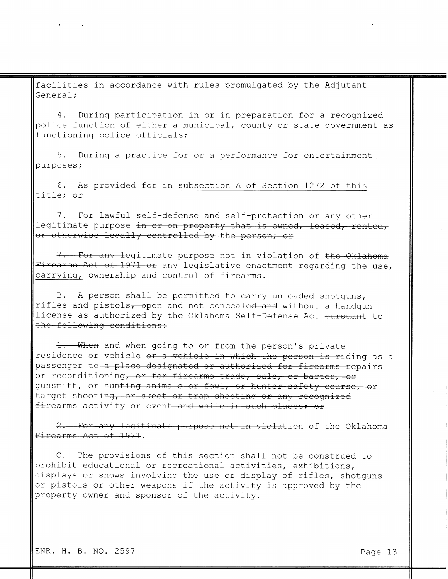facilities in accordance with rules promulgated by the Adjutant General;

4. During participation in or in preparation for a recognized police function of either a municipal, county or state government as functioning police officials;

5. During a practice for or a performance for entertainment purposes;

6. As provided for in subsection A of Section 1272 of this title; or

7. For lawful self-defense and self-protection or any other legitimate purpose in or on property that is owned, leased, rented, or otherwise legally controlled by the person; or

7. For any legitimate purpose not in violation of the Oklahoma Firearms Act of 1971 or any legislative enactment regarding the use, carrying, ownership and control of firearms.

A person shall be permitted to carry unloaded shotguns,  $\mathbf{B}$ . rifles and pistols, open and not concealed and without a handgun license as authorized by the Oklahoma Self-Defense Act pursuant to the following conditions:

1. When and when going to or from the person's private residence or vehicle or a vehicle in which the person is riding as a passenger to a place designated or authorized for firearms repairs or reconditioning, or for firearms trade, sale, or barter, or gunsmith, or hunting animals or fowl, or hunter safety course, or target shooting, or skeet or trap shooting or any recognized firearms activity or event and while in such places; or

2. For any legitimate purpose not in violation of the Oklahoma Firearms Act of 1971.

C. The provisions of this section shall not be construed to prohibit educational or recreational activities, exhibitions, displays or shows involving the use or display of rifles, shotguns or pistols or other weapons if the activity is approved by the property owner and sponsor of the activity.

 $\label{eq:2.1} \mathbf{z}^{\mathbf{y}} = \mathbf{z}^{\mathbf{y}} + \mathbf{z}^{\mathbf{y}} + \mathbf{z}^{\mathbf{y}} + \mathbf{z}^{\mathbf{y}} + \mathbf{z}^{\mathbf{y}} + \mathbf{z}^{\mathbf{y}} + \mathbf{z}^{\mathbf{y}} + \mathbf{z}^{\mathbf{y}} + \mathbf{z}^{\mathbf{y}}$ 

 $\mathbf{A}$  and  $\mathbf{A}$  are  $\mathbf{A}$  . In the  $\mathbf{A}$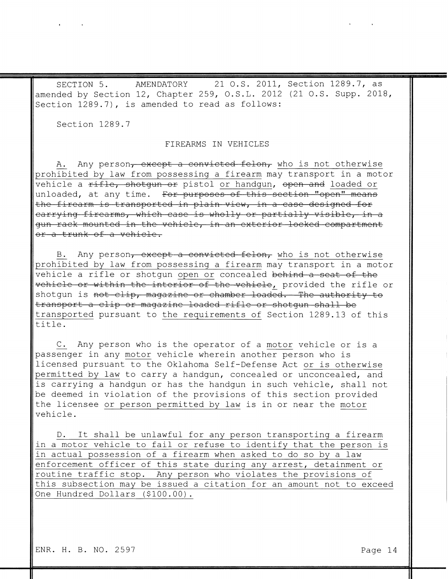SECTION 5. AMENDATORY 21 O.S. 2011, Section 1289.7, as amended by Section 12, Chapter 259, O.S.L. 2012 (21 O.S. Supp. 2018, Section 1289.7), is amended to read as follows:

Section 1289.7

 $\mathbf{A}$  and  $\mathbf{A}$  are all  $\mathbf{A}$  . In the set of the set of the  $\mathbf{A}$ 

# FIREARMS IN VEHICLES

Any person<del>, except a convicted felon,</del> who is not otherwise  $A$  . prohibited by law from possessing a firearm may transport in a motor vehicle a rifle, shotgun or pistol or handgun, open and loaded or unloaded, at any time. For purposes of this section "open" means the firearm is transported in plain view, in a case designed for carrying firearms, which case is wholly or partially visible, in a gun rack mounted in the vehicle, in an exterior locked compartment or a trunk of a vehicle.

B. Any person<del>, except a convicted felon,</del> who is not otherwise prohibited by law from possessing a firearm may transport in a motor vehicle a rifle or shotgun open or concealed behind a seat of the vehicle or within the interior of the vehicle, provided the rifle or shotgun is not clip, magazine or chamber loaded. The authority to transport a clip or magazine loaded rifle or shotgun shall be transported pursuant to the requirements of Section 1289.13 of this title.

C. Any person who is the operator of a motor vehicle or is a passenger in any motor vehicle wherein another person who is licensed pursuant to the Oklahoma Self-Defense Act or is otherwise permitted by law to carry a handgun, concealed or unconcealed, and is carrying a handgun or has the handgun in such vehicle, shall not be deemed in violation of the provisions of this section provided the licensee or person permitted by law is in or near the motor vehicle.

It shall be unlawful for any person transporting a firearm  $D_{\bullet}$ in a motor vehicle to fail or refuse to identify that the person is in actual possession of a firearm when asked to do so by a law enforcement officer of this state during any arrest, detainment or routine traffic stop. Any person who violates the provisions of this subsection may be issued a citation for an amount not to exceed One Hundred Dollars (\$100.00).

ENR. H. B. NO. 2597

Page 14

 $\mathcal{A}^{\mathcal{A}}$  and  $\mathcal{A}^{\mathcal{A}}$  are  $\mathcal{A}^{\mathcal{A}}$  . In the contract of  $\mathcal{A}^{\mathcal{A}}$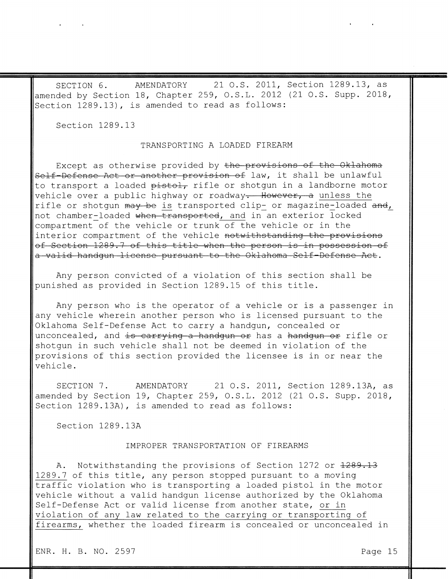AMENDATORY 21 O.S. 2011, Section 1289.13, as SECTION 6. amended by Section 18, Chapter 259, O.S.L. 2012 (21 O.S. Supp. 2018, Section 1289.13), is amended to read as follows:

Section 1289.13

 $\mathbf{A} = \left\{ \begin{array}{ll} 0 & \text{if } \mathbf{A} \in \mathbb{R}^n, \\ 0 & \text{if } \mathbf{A} \in \mathbb{R}^n, \end{array} \right.$ 

#### TRANSPORTING A LOADED FIREARM

Except as otherwise provided by the provisions of the Oklahoma Self-Defense Act or another provision of law, it shall be unlawful to transport a loaded pistol, rifle or shotgun in a landborne motor vehicle over a public highway or roadway. However, a unless the rifle or shotgun may be is transported clip- or magazine-loaded and, not chamber-loaded when transported, and in an exterior locked compartment of the vehicle or trunk of the vehicle or in the interior compartment of the vehicle notwithstanding the provisions of Section 1289.7 of this title when the person is in possession of a valid handgun license pursuant to the Oklahoma Self-Defense Act.

Any person convicted of a violation of this section shall be punished as provided in Section 1289.15 of this title.

Any person who is the operator of a vehicle or is a passenger in any vehicle wherein another person who is licensed pursuant to the Oklahoma Self-Defense Act to carry a handgun, concealed or unconcealed, and is carrying a handgun or has a handgun or rifle or shotgun in such vehicle shall not be deemed in violation of the provisions of this section provided the licensee is in or near the vehicle.

SECTION 7. AMENDATORY 21 O.S. 2011, Section 1289.13A, as amended by Section 19, Chapter 259, O.S.L. 2012 (21 O.S. Supp. 2018, Section 1289.13A), is amended to read as follows:

Section 1289.13A

#### IMPROPER TRANSPORTATION OF FIREARMS

Notwithstanding the provisions of Section 1272 or <del>1289.13</del> Α. 1289.7 of this title, any person stopped pursuant to a moving traffic violation who is transporting a loaded pistol in the motor vehicle without a valid handgun license authorized by the Oklahoma Self-Defense Act or valid license from another state, or in violation of any law related to the carrying or transporting of firearms, whether the loaded firearm is concealed or unconcealed in

ENR. H. B. NO. 2597

Page 15

 $\mathbf{A}$  and  $\mathbf{A}$  and  $\mathbf{A}$  and  $\mathbf{A}$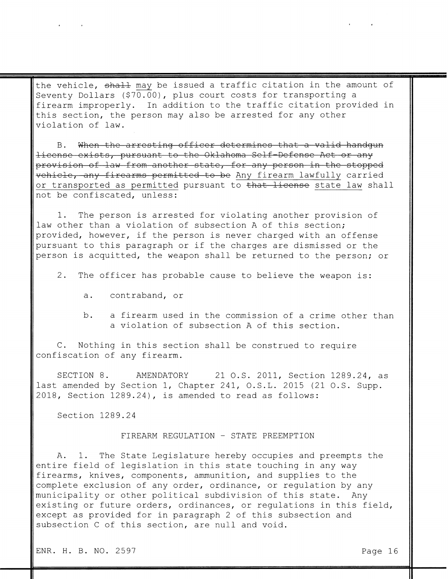the vehicle, shall may be issued a traffic citation in the amount of Seventy Dollars (\$70.00), plus court costs for transporting a firearm improperly. In addition to the traffic citation provided in this section, the person may also be arrested for any other violation of law.

B. When the arresting officer determines that a valid handgun license exists, pursuant to the Oklahoma Self-Defense Act or any provision of law from another state, for any person in the stopped vehicle, any firearms permitted to be Any firearm lawfully carried or transported as permitted pursuant to that license state law shall not be confiscated, unless:

The person is arrested for violating another provision of  $\mathbf 1$ . law other than a violation of subsection A of this section; provided, however, if the person is never charged with an offense pursuant to this paragraph or if the charges are dismissed or the person is acquitted, the weapon shall be returned to the person; or

- 2. The officer has probable cause to believe the weapon is:
	- contraband, or  $a.$
	- a firearm used in the commission of a crime other than  $b.$ a violation of subsection A of this section.

C. Nothing in this section shall be construed to require confiscation of any firearm.

SECTION 8. AMENDATORY 21 O.S. 2011, Section 1289.24, as last amended by Section 1, Chapter 241, O.S.L. 2015 (21 O.S. Supp. 2018, Section 1289.24), is amended to read as follows:

Section 1289.24

 $\mathbf{A}^{\text{max}}$  and  $\mathbf{A}^{\text{max}}$  and  $\mathbf{A}^{\text{max}}$ 

#### FIREARM REGULATION - STATE PREEMPTION

A. 1. The State Legislature hereby occupies and preempts the entire field of legislation in this state touching in any way firearms, knives, components, ammunition, and supplies to the complete exclusion of any order, ordinance, or regulation by any municipality or other political subdivision of this state. Any existing or future orders, ordinances, or regulations in this field, except as provided for in paragraph 2 of this subsection and subsection C of this section, are null and void.

ENR. H. B. NO. 2597

Page 16

 $\mathbf{r} = \mathbf{r} \cdot \mathbf{r}$  and  $\mathbf{r} = \mathbf{r} \cdot \mathbf{r}$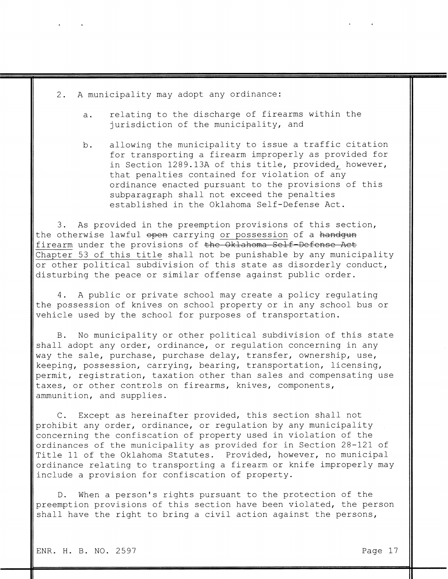A municipality may adopt any ordinance:  $2.$ 

 $\mathbf{A}$  and  $\mathbf{A}$  are  $\mathbf{A}$  . In the  $\mathbf{A}$ 

- relating to the discharge of firearms within the  $a.$ jurisdiction of the municipality, and
- allowing the municipality to issue a traffic citation b. for transporting a firearm improperly as provided for in Section 1289.13A of this title, provided, however, that penalties contained for violation of any ordinance enacted pursuant to the provisions of this subparagraph shall not exceed the penalties established in the Oklahoma Self-Defense Act.

3. As provided in the preemption provisions of this section, the otherwise lawful open carrying or possession of a handgun firearm under the provisions of the Oklahoma Self-Defense Act Chapter 53 of this title shall not be punishable by any municipality or other political subdivision of this state as disorderly conduct, disturbing the peace or similar offense against public order.

4. A public or private school may create a policy regulating the possession of knives on school property or in any school bus or vehicle used by the school for purposes of transportation.

No municipality or other political subdivision of this state  $\mathbf{B}$ . shall adopt any order, ordinance, or regulation concerning in any way the sale, purchase, purchase delay, transfer, ownership, use, keeping, possession, carrying, bearing, transportation, licensing, permit, registration, taxation other than sales and compensating use taxes, or other controls on firearms, knives, components, ammunition, and supplies.

C. Except as hereinafter provided, this section shall not prohibit any order, ordinance, or regulation by any municipality concerning the confiscation of property used in violation of the ordinances of the municipality as provided for in Section 28-121 of Title 11 of the Oklahoma Statutes. Provided, however, no municipal ordinance relating to transporting a firearm or knife improperly may include a provision for confiscation of property.

When a person's rights pursuant to the protection of the  $D_{\bullet}$ preemption provisions of this section have been violated, the person shall have the right to bring a civil action against the persons,

 $\mathbf{A}$  and  $\mathbf{A}$  are all  $\mathbf{A}$  and  $\mathbf{A}$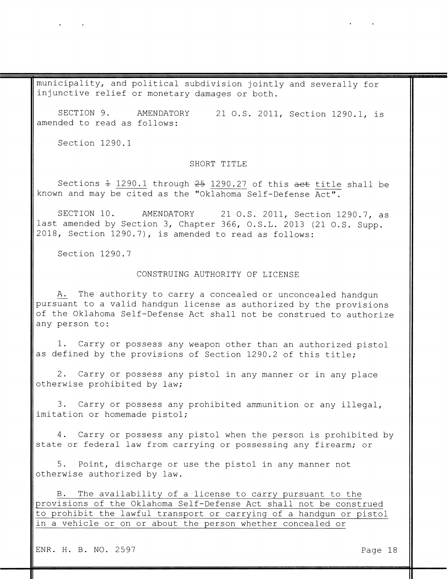municipality, and political subdivision jointly and severally for injunctive relief or monetary damages or both.

SECTION 9. AMENDATORY 21 O.S. 2011, Section 1290.1, is amended to read as follows:

Section 1290.1

 $\mathbf{A}^{(n)} = \mathbf{A}^{(n)} \mathbf{A}^{(n)} = \mathbf{A}^{(n)}$ 

#### SHORT TITLE

Sections  $\pm$  1290.1 through 25 1290.27 of this act title shall be known and may be cited as the "Oklahoma Self-Defense Act".

SECTION 10. AMENDATORY 21 O.S. 2011, Section 1290.7, as last amended by Section 3, Chapter 366, O.S.L. 2013 (21 O.S. Supp. 2018, Section 1290.7), is amended to read as follows:

Section 1290.7

#### CONSTRUING AUTHORITY OF LICENSE

The authority to carry a concealed or unconcealed handgun A. pursuant to a valid handgun license as authorized by the provisions of the Oklahoma Self-Defense Act shall not be construed to authorize any person to:

1. Carry or possess any weapon other than an authorized pistol as defined by the provisions of Section 1290.2 of this title;

2. Carry or possess any pistol in any manner or in any place otherwise prohibited by law;

3. Carry or possess any prohibited ammunition or any illegal, imitation or homemade pistol;

4. Carry or possess any pistol when the person is prohibited by state or federal law from carrying or possessing any firearm; or

5. Point, discharge or use the pistol in any manner not otherwise authorized by law.

B. The availability of a license to carry pursuant to the provisions of the Oklahoma Self-Defense Act shall not be construed to prohibit the lawful transport or carrying of a handgun or pistol in a vehicle or on or about the person whether concealed or

ENR. H. B. NO. 2597

Page 18

 $\mathbf{A}$  and  $\mathbf{A}$  are all  $\mathbf{A}$  and  $\mathbf{A}$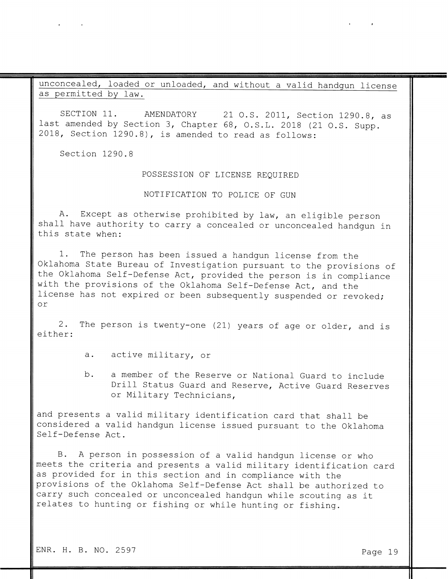unconcealed, loaded or unloaded, and without a valid handgun license as permitted by law.

SECTION 11. AMENDATORY 21 O.S. 2011, Section 1290.8, as last amended by Section 3, Chapter 68, O.S.L. 2018 (21 O.S. Supp. 2018, Section 1290.8), is amended to read as follows:

Section 1290.8

 $\label{eq:2.1} \begin{array}{cccccccccc} \mathbf{A} & \mathbf{A} & \mathbf{A} & \mathbf{A} & \mathbf{A} & \mathbf{A} & \mathbf{A} & \mathbf{A} & \mathbf{A} & \mathbf{A} & \mathbf{A} & \mathbf{A} & \mathbf{A} & \mathbf{A} & \mathbf{A} & \mathbf{A} & \mathbf{A} & \mathbf{A} & \mathbf{A} & \mathbf{A} & \mathbf{A} & \mathbf{A} & \mathbf{A} & \mathbf{A} & \mathbf{A} & \mathbf{A} & \mathbf{A} & \mathbf{A} & \mathbf{A}$ 

## POSSESSION OF LICENSE REQUIRED

# NOTIFICATION TO POLICE OF GUN

Except as otherwise prohibited by law, an eligible person A. shall have authority to carry a concealed or unconcealed handgun in this state when:

1. The person has been issued a handgun license from the Oklahoma State Bureau of Investigation pursuant to the provisions of the Oklahoma Self-Defense Act, provided the person is in compliance with the provisions of the Oklahoma Self-Defense Act, and the license has not expired or been subsequently suspended or revoked;  $O<sub>T</sub>$ 

 $2$ . The person is twenty-one (21) years of age or older, and is either:

- active military, or  $a.$
- a member of the Reserve or National Guard to include b. Drill Status Guard and Reserve, Active Guard Reserves or Military Technicians,

and presents a valid military identification card that shall be considered a valid handgun license issued pursuant to the Oklahoma Self-Defense Act.

A person in possession of a valid handqun license or who  $\mathbf{B}$ . meets the criteria and presents a valid military identification card as provided for in this section and in compliance with the provisions of the Oklahoma Self-Defense Act shall be authorized to carry such concealed or unconcealed handgun while scouting as it relates to hunting or fishing or while hunting or fishing.

ENR. H. B. NO. 2597

 $\mathbf{A}$  , and  $\mathbf{A}$  , and  $\mathbf{A}$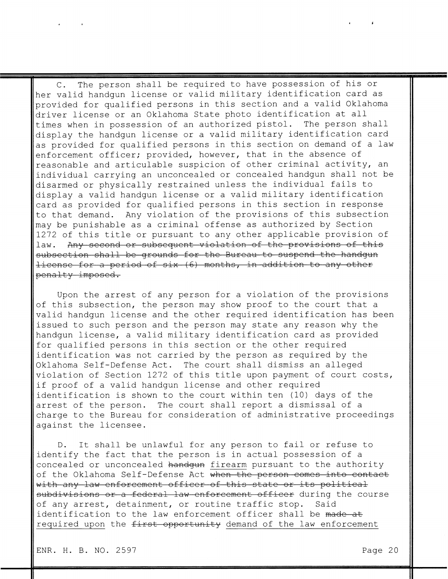The person shall be required to have possession of his or  $C$ . her valid handqun license or valid military identification card as provided for qualified persons in this section and a valid Oklahoma driver license or an Oklahoma State photo identification at all times when in possession of an authorized pistol. The person shall display the handgun license or a valid military identification card as provided for qualified persons in this section on demand of a law enforcement officer; provided, however, that in the absence of reasonable and articulable suspicion of other criminal activity, an individual carrying an unconcealed or concealed handgun shall not be disarmed or physically restrained unless the individual fails to display a valid handgun license or a valid military identification card as provided for qualified persons in this section in response to that demand. Any violation of the provisions of this subsection may be punishable as a criminal offense as authorized by Section 1272 of this title or pursuant to any other applicable provision of Any second or subsequent violation of the provisions of this  $law.$ subsection shall be grounds for the Bureau to suspend the handgun license for a period of six (6) months, in addition to any other penalty imposed.

Upon the arrest of any person for a violation of the provisions of this subsection, the person may show proof to the court that a valid handgun license and the other required identification has been issued to such person and the person may state any reason why the handqun license, a valid military identification card as provided for qualified persons in this section or the other required identification was not carried by the person as required by the Oklahoma Self-Defense Act. The court shall dismiss an alleged violation of Section 1272 of this title upon payment of court costs, if proof of a valid handgun license and other required identification is shown to the court within ten (10) days of the arrest of the person. The court shall report a dismissal of a charge to the Bureau for consideration of administrative proceedings against the licensee.

It shall be unlawful for any person to fail or refuse to  $D_{\bullet}$ identify the fact that the person is in actual possession of a concealed or unconcealed handgun firearm pursuant to the authority of the Oklahoma Self-Defense Act when the person comes into contact with any law enforcement officer of this state or its political subdivisions or a federal law enforcement officer during the course of any arrest, detainment, or routine traffic stop. Said identification to the law enforcement officer shall be made at required upon the first opportunity demand of the law enforcement

ENR. H. B. NO. 2597

 $\mathcal{L}^{\text{max}}_{\text{max}}$  and  $\mathcal{L}^{\text{max}}_{\text{max}}$ 

 $\Delta$ 

Page 20

 $\mathbf{r}$ 

 $\leftarrow$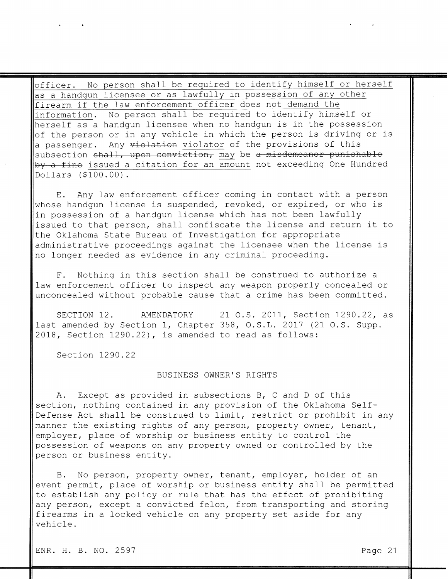No person shall be required to identify himself or herself officer. as a handgun licensee or as lawfully in possession of any other firearm if the law enforcement officer does not demand the No person shall be required to identify himself or information. herself as a handgun licensee when no handgun is in the possession of the person or in any vehicle in which the person is driving or is a passenger. Any violation violator of the provisions of this subsection shall, upon conviction, may be a misdemeanor punishable by a fine issued a citation for an amount not exceeding One Hundred Dollars (\$100.00).

Any law enforcement officer coming in contact with a person  $E$ . whose handgun license is suspended, revoked, or expired, or who is in possession of a handgun license which has not been lawfully issued to that person, shall confiscate the license and return it to the Oklahoma State Bureau of Investigation for appropriate administrative proceedings against the licensee when the license is no longer needed as evidence in any criminal proceeding.

Nothing in this section shall be construed to authorize a  $F$ . law enforcement officer to inspect any weapon properly concealed or unconcealed without probable cause that a crime has been committed.

SECTION 12. 21 O.S. 2011, Section 1290.22, as AMENDATORY last amended by Section 1, Chapter 358, O.S.L. 2017 (21 O.S. Supp.

2018, Section 1290.22), is amended to read as follows:

Section 1290.22

#### BUSINESS OWNER'S RIGHTS

Except as provided in subsections B, C and D of this  $A_{\bullet}$ section, nothing contained in any provision of the Oklahoma Self-Defense Act shall be construed to limit, restrict or prohibit in any manner the existing rights of any person, property owner, tenant, employer, place of worship or business entity to control the possession of weapons on any property owned or controlled by the person or business entity.

No person, property owner, tenant, employer, holder of an  $B_{\bullet}$ event permit, place of worship or business entity shall be permitted to establish any policy or rule that has the effect of prohibiting any person, except a convicted felon, from transporting and storing firearms in a locked vehicle on any property set aside for any vehicle.

Page 21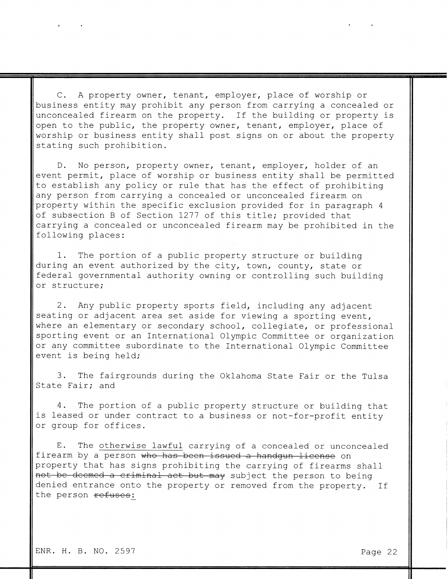C. A property owner, tenant, employer, place of worship or business entity may prohibit any person from carrying a concealed or unconcealed firearm on the property. If the building or property is open to the public, the property owner, tenant, employer, place of worship or business entity shall post signs on or about the property stating such prohibition.

No person, property owner, tenant, employer, holder of an  $D_{\bullet}$ event permit, place of worship or business entity shall be permitted to establish any policy or rule that has the effect of prohibiting any person from carrying a concealed or unconcealed firearm on property within the specific exclusion provided for in paragraph 4 of subsection B of Section 1277 of this title; provided that carrying a concealed or unconcealed firearm may be prohibited in the following places:

The portion of a public property structure or building 1. during an event authorized by the city, town, county, state or federal governmental authority owning or controlling such building or structure;

Any public property sports field, including any adjacent 2. seating or adjacent area set aside for viewing a sporting event, where an elementary or secondary school, collegiate, or professional sporting event or an International Olympic Committee or organization or any committee subordinate to the International Olympic Committee event is being held;

3. The fairgrounds during the Oklahoma State Fair or the Tulsa State Fair; and

4. The portion of a public property structure or building that is leased or under contract to a business or not-for-profit entity or group for offices.

The otherwise lawful carrying of a concealed or unconcealed  $E_{\bullet}$ firearm by a person who has been issued a handgun license on property that has signs prohibiting the carrying of firearms shall not be deemed a criminal act but may subject the person to being denied entrance onto the property or removed from the property. If the person refuses:

ENR. H. B. NO. 2597

 $\left| \right|$ 

Page 22

 $\mathbf{A}$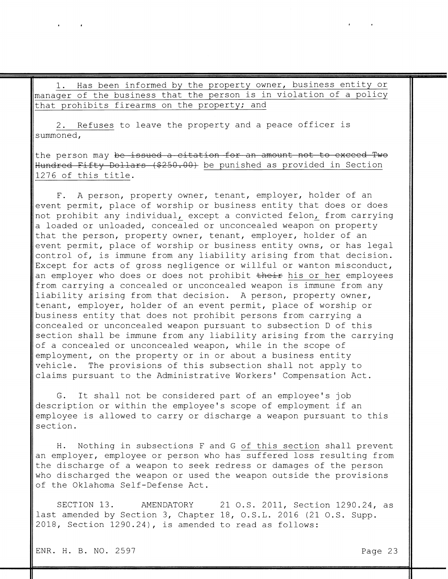Has been informed by the property owner, business entity or  $\perp$ . manager of the business that the person is in violation of a policy that prohibits firearms on the property; and

Refuses to leave the property and a peace officer is 2. summoned,

the person may be issued a citation for an amount not to exceed Two Hundred Fifty Dollars (\$250.00) be punished as provided in Section 1276 of this title.

A person, property owner, tenant, employer, holder of an  $F_{\bullet}$ event permit, place of worship or business entity that does or does not prohibit any individual, except a convicted felon, from carrying a loaded or unloaded, concealed or unconcealed weapon on property that the person, property owner, tenant, employer, holder of an event permit, place of worship or business entity owns, or has legal control of, is immune from any liability arising from that decision. Except for acts of gross negligence or willful or wanton misconduct, an employer who does or does not prohibit their his or her employees from carrying a concealed or unconcealed weapon is immune from any liability arising from that decision. A person, property owner, tenant, employer, holder of an event permit, place of worship or business entity that does not prohibit persons from carrying a concealed or unconcealed weapon pursuant to subsection D of this section shall be immune from any liability arising from the carrying of a concealed or unconcealed weapon, while in the scope of employment, on the property or in or about a business entity vehicle. The provisions of this subsection shall not apply to claims pursuant to the Administrative Workers' Compensation Act.

G. It shall not be considered part of an employee's job description or within the employee's scope of employment if an employee is allowed to carry or discharge a weapon pursuant to this section.

Nothing in subsections F and G of this section shall prevent H. an employer, employee or person who has suffered loss resulting from the discharge of a weapon to seek redress or damages of the person who discharged the weapon or used the weapon outside the provisions of the Oklahoma Self-Defense Act.

SECTION 13. 21 O.S. 2011, Section 1290.24, as AMENDATORY last amended by Section 3, Chapter 18, O.S.L. 2016 (21 O.S. Supp. 2018, Section 1290.24), is amended to read as follows:

ENR. H. B. NO. 2597

 $\blacksquare$ 

Page 23

 $\mathbf{A}$  and  $\mathbf{A}$  and  $\mathbf{A}$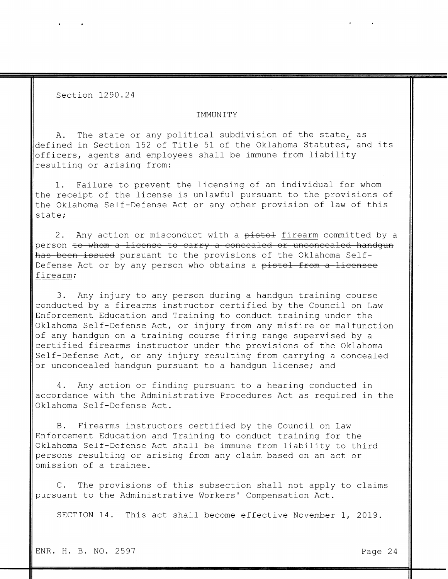Section 1290.24

#### IMMUNITY

The state or any political subdivision of the state, as  $A_{\bullet}$ defined in Section 152 of Title 51 of the Oklahoma Statutes, and its officers, agents and employees shall be immune from liability resulting or arising from:

1. Failure to prevent the licensing of an individual for whom the receipt of the license is unlawful pursuant to the provisions of the Oklahoma Self-Defense Act or any other provision of law of this state;

Any action or misconduct with a pistol firearm committed by a  $2$ . person to whom a license to carry a concealed or unconcealed handgun has been issued pursuant to the provisions of the Oklahoma Self-Defense Act or by any person who obtains a pistol from a licensee firearm;

Any injury to any person during a handgun training course 3. conducted by a firearms instructor certified by the Council on Law Enforcement Education and Training to conduct training under the Oklahoma Self-Defense Act, or injury from any misfire or malfunction of any handgun on a training course firing range supervised by a certified firearms instructor under the provisions of the Oklahoma Self-Defense Act, or any injury resulting from carrying a concealed or unconcealed handgun pursuant to a handgun license; and

Any action or finding pursuant to a hearing conducted in 4. accordance with the Administrative Procedures Act as required in the Oklahoma Self-Defense Act.

Firearms instructors certified by the Council on Law  $B$ . Enforcement Education and Training to conduct training for the Oklahoma Self-Defense Act shall be immune from liability to third persons resulting or arising from any claim based on an act or omission of a trainee.

C. The provisions of this subsection shall not apply to claims pursuant to the Administrative Workers' Compensation Act.

SECTION 14. This act shall become effective November 1, 2019.

Page 24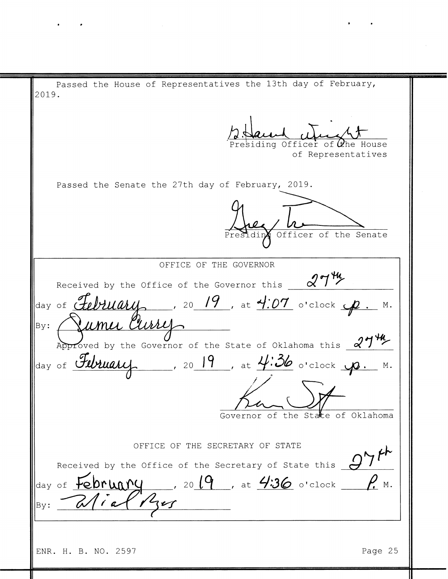Passed the House of Representatives the 13th day of February, 2019. Presiding Officer of the House of Representatives Passed the Senate the 27th day of February, 2019. Presiding Officer of the Senate OFFICE OF THE GOVERNOR  $274$ Received by the Office of the Governor this day of February 10 19, at 4:07 o'clock p  $M$ . Purre Approved by the Governor of the State of Oklahoma this  $27\frac{44}{10}$ Jeay of February  $\frac{19}{100}$ , at  $\frac{113}{100}$  o'clock  $\frac{100}{100}$ . M. Governor of the State of Oklahoma OFFICE OF THE SECRETARY OF STATE Received by the Office of the Secretary of State this  $\overline{C}$ day of February, 2019, at 4:36 o'clock P.M.  $\mathcal{P}$  $By:$ Page 25 ENR. H. B. NO. 2597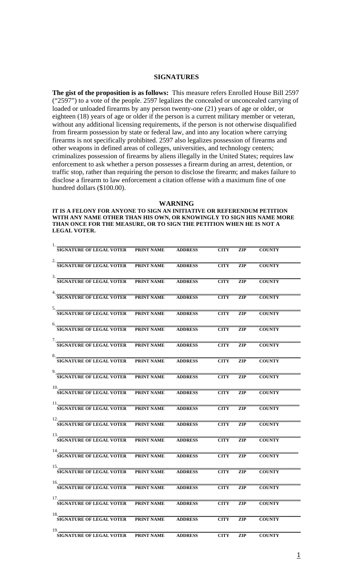#### **SIGNATURES**

**The gist of the proposition is as follows:** This measure refers Enrolled House Bill 2597 ("2597") to a vote of the people. 2597 legalizes the concealed or unconcealed carrying of loaded or unloaded firearms by any person twenty-one (21) years of age or older, or eighteen (18) years of age or older if the person is a current military member or veteran, without any additional licensing requirements, if the person is not otherwise disqualified from firearm possession by state or federal law, and into any location where carrying firearms is not specifically prohibited. 2597 also legalizes possession of firearms and other weapons in defined areas of colleges, universities, and technology centers; criminalizes possession of firearms by aliens illegally in the United States; requires law enforcement to ask whether a person possesses a firearm during an arrest, detention, or traffic stop, rather than requiring the person to disclose the firearm; and makes failure to disclose a firearm to law enforcement a citation offense with a maximum fine of one hundred dollars (\$100.00).

**WARNING**

**IT IS A FELONY FOR ANYONE TO SIGN AN INITIATIVE OR REFERENDUM PETITION WITH ANY NAME OTHER THAN HIS OWN, OR KNOWINGLY TO SIGN HIS NAME MORE THAN ONCE FOR THE MEASURE, OR TO SIGN THE PETITION WHEN HE IS NOT A LEGAL VOTER.**

| 1.                                                    |                   |                |             |            |               |  |
|-------------------------------------------------------|-------------------|----------------|-------------|------------|---------------|--|
| <b>SIGNATURE OF LEGAL VOTER</b>                       | PRINT NAME        | <b>ADDRESS</b> | <b>CITY</b> | <b>ZIP</b> | <b>COUNTY</b> |  |
| 2.<br><b>SIGNATURE OF LEGAL VOTER</b>                 | <b>PRINT NAME</b> | <b>ADDRESS</b> | <b>CITY</b> | <b>ZIP</b> | <b>COUNTY</b> |  |
| 3.<br><b>SIGNATURE OF LEGAL VOTER</b>                 | PRINT NAME        | <b>ADDRESS</b> | <b>CITY</b> | <b>ZIP</b> | <b>COUNTY</b> |  |
| 4.<br><b>SIGNATURE OF LEGAL VOTER</b>                 | PRINT NAME        | <b>ADDRESS</b> | <b>CITY</b> | <b>ZIP</b> | <b>COUNTY</b> |  |
| 5.<br><b>SIGNATURE OF LEGAL VOTER</b>                 | PRINT NAME        | <b>ADDRESS</b> | <b>CITY</b> | <b>ZIP</b> | <b>COUNTY</b> |  |
| 6.<br><b>SIGNATURE OF LEGAL VOTER</b>                 | PRINT NAME        | <b>ADDRESS</b> | <b>CITY</b> | <b>ZIP</b> | <b>COUNTY</b> |  |
| 7.<br><b>SIGNATURE OF LEGAL VOTER</b>                 | PRINT NAME        | <b>ADDRESS</b> | <b>CITY</b> | <b>ZIP</b> | <b>COUNTY</b> |  |
| 8.<br><b>SIGNATURE OF LEGAL VOTER</b>                 | <b>PRINT NAME</b> | <b>ADDRESS</b> | <b>CITY</b> | ZIP        | <b>COUNTY</b> |  |
| 9.<br><b>SIGNATURE OF LEGAL VOTER</b>                 | PRINT NAME        | <b>ADDRESS</b> | <b>CITY</b> | <b>ZIP</b> | <b>COUNTY</b> |  |
| <b>SIGNATURE OF LEGAL VOTER</b>                       | PRINT NAME        | <b>ADDRESS</b> | <b>CITY</b> | <b>ZIP</b> | <b>COUNTY</b> |  |
| <b>SIGNATURE OF LEGAL VOTER</b>                       | PRINT NAME        | <b>ADDRESS</b> | <b>CITY</b> | <b>ZIP</b> | <b>COUNTY</b> |  |
| <b>SIGNATURE OF LEGAL VOTER</b>                       | PRINT NAME        | <b>ADDRESS</b> | <b>CITY</b> | <b>ZIP</b> | <b>COUNTY</b> |  |
| <b>SIGNATURE OF LEGAL VOTER</b>                       | PRINT NAME        | <b>ADDRESS</b> | <b>CITY</b> | <b>ZIP</b> | <b>COUNTY</b> |  |
| 14. $\blacksquare$<br><b>SIGNATURE OF LEGAL VOTER</b> | PRINT NAME        | <b>ADDRESS</b> | <b>CITY</b> | <b>ZIP</b> | <b>COUNTY</b> |  |
| <b>SIGNATURE OF LEGAL VOTER</b>                       | <b>PRINT NAME</b> | <b>ADDRESS</b> | <b>CITY</b> | <b>ZIP</b> | <b>COUNTY</b> |  |
| 16.<br><b>SIGNATURE OF LEGAL VOTER</b>                | <b>PRINT NAME</b> | <b>ADDRESS</b> | <b>CITY</b> | <b>ZIP</b> | <b>COUNTY</b> |  |
| 17.<br><b>SIGNATURE OF LEGAL VOTER</b>                | <b>PRINT NAME</b> | <b>ADDRESS</b> | <b>CITY</b> | ZIP        | <b>COUNTY</b> |  |
| 18.<br><b>SIGNATURE OF LEGAL VOTER</b>                | PRINT NAME        | <b>ADDRESS</b> | <b>CITY</b> | <b>ZIP</b> | <b>COUNTY</b> |  |
| 19.                                                   |                   |                |             |            | <b>COUNTY</b> |  |
| <b>SIGNATURE OF LEGAL VOTER</b>                       | PRINT NAME        | <b>ADDRESS</b> | <b>CITY</b> | <b>ZIP</b> |               |  |